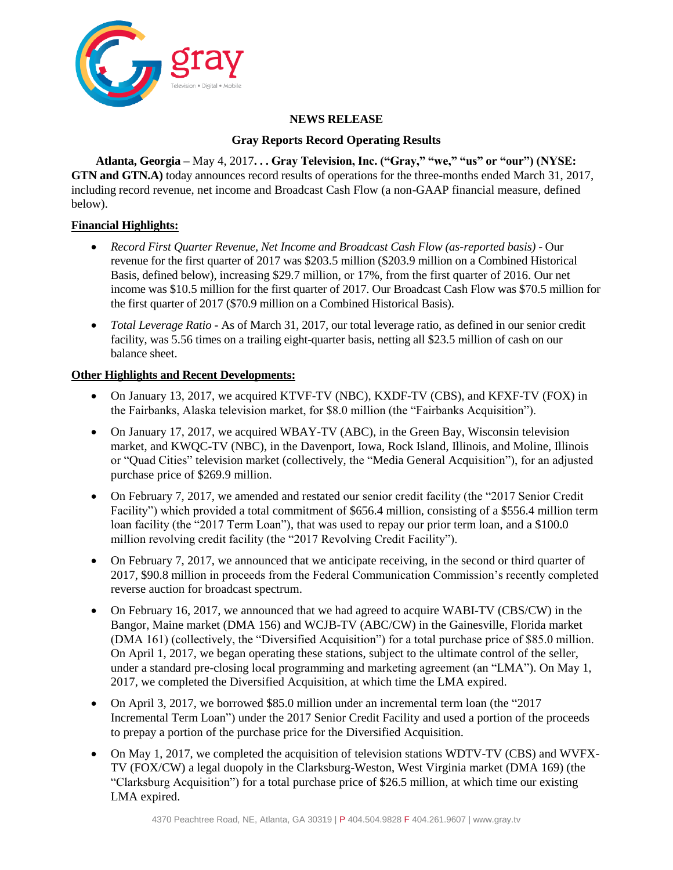

### **NEWS RELEASE**

#### **Gray Reports Record Operating Results**

**Atlanta, Georgia –** May 4, 2017**. . . Gray Television, Inc. ("Gray," "we," "us" or "our") (NYSE: GTN and GTN.A)** today announces record results of operations for the three-months ended March 31, 2017, including record revenue, net income and Broadcast Cash Flow (a non-GAAP financial measure, defined below).

### **Financial Highlights:**

- *Record First Quarter Revenue, Net Income and Broadcast Cash Flow (as-reported basis)* Our revenue for the first quarter of 2017 was \$203.5 million (\$203.9 million on a Combined Historical Basis, defined below), increasing \$29.7 million, or 17%, from the first quarter of 2016. Our net income was \$10.5 million for the first quarter of 2017. Our Broadcast Cash Flow was \$70.5 million for the first quarter of 2017 (\$70.9 million on a Combined Historical Basis).
- *Total Leverage Ratio -* As of March 31, 2017, our total leverage ratio, as defined in our senior credit facility, was 5.56 times on a trailing eight-quarter basis, netting all \$23.5 million of cash on our balance sheet.

# **Other Highlights and Recent Developments:**

- On January 13, 2017, we acquired KTVF-TV (NBC), KXDF-TV (CBS), and KFXF-TV (FOX) in the Fairbanks, Alaska television market, for \$8.0 million (the "Fairbanks Acquisition").
- On January 17, 2017, we acquired WBAY-TV (ABC), in the Green Bay, Wisconsin television market, and KWQC-TV (NBC), in the Davenport, Iowa, Rock Island, Illinois, and Moline, Illinois or "Quad Cities" television market (collectively, the "Media General Acquisition"), for an adjusted purchase price of \$269.9 million.
- On February 7, 2017, we amended and restated our senior credit facility (the "2017 Senior Credit Facility") which provided a total commitment of \$656.4 million, consisting of a \$556.4 million term loan facility (the "2017 Term Loan"), that was used to repay our prior term loan, and a \$100.0 million revolving credit facility (the "2017 Revolving Credit Facility").
- On February 7, 2017, we announced that we anticipate receiving, in the second or third quarter of 2017, \$90.8 million in proceeds from the Federal Communication Commission's recently completed reverse auction for broadcast spectrum.
- On February 16, 2017, we announced that we had agreed to acquire WABI-TV (CBS/CW) in the Bangor, Maine market (DMA 156) and WCJB-TV (ABC/CW) in the Gainesville, Florida market (DMA 161) (collectively, the "Diversified Acquisition") for a total purchase price of \$85.0 million. On April 1, 2017, we began operating these stations, subject to the ultimate control of the seller, under a standard pre-closing local programming and marketing agreement (an "LMA"). On May 1, 2017, we completed the Diversified Acquisition, at which time the LMA expired.
- On April 3, 2017, we borrowed \$85.0 million under an incremental term loan (the "2017 Incremental Term Loan") under the 2017 Senior Credit Facility and used a portion of the proceeds to prepay a portion of the purchase price for the Diversified Acquisition.
- On May 1, 2017, we completed the acquisition of television stations WDTV-TV (CBS) and WVFX-TV (FOX/CW) a legal duopoly in the Clarksburg-Weston, West Virginia market (DMA 169) (the "Clarksburg Acquisition") for a total purchase price of \$26.5 million, at which time our existing LMA expired.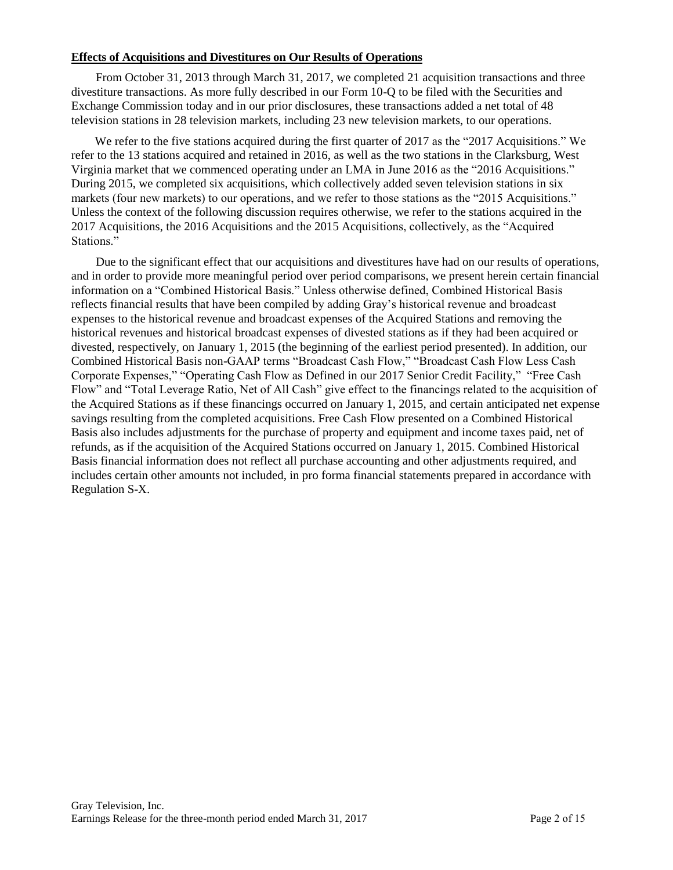#### **Effects of Acquisitions and Divestitures on Our Results of Operations**

From October 31, 2013 through March 31, 2017, we completed 21 acquisition transactions and three divestiture transactions. As more fully described in our Form 10-Q to be filed with the Securities and Exchange Commission today and in our prior disclosures, these transactions added a net total of 48 television stations in 28 television markets, including 23 new television markets, to our operations.

We refer to the five stations acquired during the first quarter of 2017 as the "2017 Acquisitions." We refer to the 13 stations acquired and retained in 2016, as well as the two stations in the Clarksburg, West Virginia market that we commenced operating under an LMA in June 2016 as the "2016 Acquisitions." During 2015, we completed six acquisitions, which collectively added seven television stations in six markets (four new markets) to our operations, and we refer to those stations as the "2015 Acquisitions." Unless the context of the following discussion requires otherwise, we refer to the stations acquired in the 2017 Acquisitions, the 2016 Acquisitions and the 2015 Acquisitions, collectively, as the "Acquired Stations."

Due to the significant effect that our acquisitions and divestitures have had on our results of operations, and in order to provide more meaningful period over period comparisons, we present herein certain financial information on a "Combined Historical Basis." Unless otherwise defined, Combined Historical Basis reflects financial results that have been compiled by adding Gray's historical revenue and broadcast expenses to the historical revenue and broadcast expenses of the Acquired Stations and removing the historical revenues and historical broadcast expenses of divested stations as if they had been acquired or divested, respectively, on January 1, 2015 (the beginning of the earliest period presented). In addition, our Combined Historical Basis non-GAAP terms "Broadcast Cash Flow," "Broadcast Cash Flow Less Cash Corporate Expenses," "Operating Cash Flow as Defined in our 2017 Senior Credit Facility," "Free Cash Flow" and "Total Leverage Ratio, Net of All Cash" give effect to the financings related to the acquisition of the Acquired Stations as if these financings occurred on January 1, 2015, and certain anticipated net expense savings resulting from the completed acquisitions. Free Cash Flow presented on a Combined Historical Basis also includes adjustments for the purchase of property and equipment and income taxes paid, net of refunds, as if the acquisition of the Acquired Stations occurred on January 1, 2015. Combined Historical Basis financial information does not reflect all purchase accounting and other adjustments required, and includes certain other amounts not included, in pro forma financial statements prepared in accordance with Regulation S-X.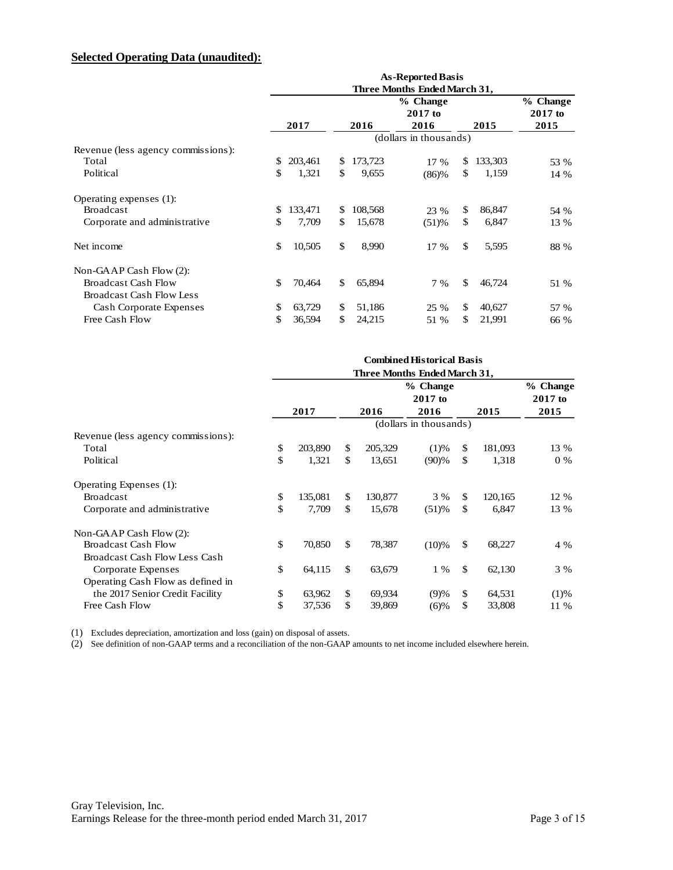# **Selected Operating Data (unaudited):**

| <b>Selected Operating Data (unaudited):</b> |     |         |               |                                                          |               |                     |
|---------------------------------------------|-----|---------|---------------|----------------------------------------------------------|---------------|---------------------|
|                                             |     |         |               | <b>As-Reported Basis</b><br>Three Months Ended March 31, |               |                     |
|                                             |     |         |               | % Change<br>$2017$ to                                    |               | % Change<br>2017 to |
|                                             |     | 2017    | 2016          | 2016                                                     | 2015          | 2015                |
|                                             |     |         |               | (dollars in thousands)                                   |               |                     |
| Revenue (less agency commissions):          |     |         |               |                                                          |               |                     |
| Total                                       | S   | 203,461 | \$<br>173,723 | 17 %                                                     | \$<br>133,303 | 53 %                |
| Political                                   | \$  | 1,321   | \$<br>9,655   | (86)%                                                    | \$<br>1,159   | 14 %                |
| Operating expenses (1):                     |     |         |               |                                                          |               |                     |
| <b>Broadcast</b>                            | \$. | 133,471 | \$<br>108,568 | 23 %                                                     | \$<br>86,847  | 54 %                |
| Corporate and administrative                | \$  | 7,709   | \$<br>15,678  | (51)%                                                    | \$<br>6,847   | 13 %                |
| Net income                                  | \$  | 10,505  | \$<br>8,990   | 17 %                                                     | \$<br>5,595   | 88 %                |
| Non-GAAP Cash Flow (2):                     |     |         |               |                                                          |               |                     |
| <b>Broadcast Cash Flow</b>                  | \$. | 70,464  | \$<br>65,894  | 7 %                                                      | \$<br>46,724  | 51 %                |
| <b>Broadcast Cash Flow Less</b>             |     |         |               |                                                          |               |                     |
| Cash Corporate Expenses                     | \$  | 63,729  | \$<br>51,186  | 25 %                                                     | \$<br>40,627  | 57 %                |
| Free Cash Flow                              | \$  | 36,594  | \$<br>24,215  | 51 %                                                     | \$<br>21,991  | 66 %                |

|                                    | <b>Combined Historical Basis</b><br>Three Months Ended March 31, |         |     |         |                        |              |         |                       |
|------------------------------------|------------------------------------------------------------------|---------|-----|---------|------------------------|--------------|---------|-----------------------|
|                                    |                                                                  |         |     |         | % Change<br>2017 to    |              |         | % Change<br>$2017$ to |
|                                    |                                                                  | 2017    |     | 2016    | 2016                   |              | 2015    | 2015                  |
|                                    |                                                                  |         |     |         | (dollars in thousands) |              |         |                       |
| Revenue (less agency commissions): |                                                                  |         |     |         |                        |              |         |                       |
| Total                              | \$                                                               | 203,890 | \$  | 205,329 | (1)%                   | \$           | 181,093 | 13 %                  |
| Political                          | \$                                                               | 1,321   | \$  | 13,651  | (90)%                  | \$           | 1,318   | $0\%$                 |
| Operating Expenses (1):            |                                                                  |         |     |         |                        |              |         |                       |
| <b>Broadcast</b>                   | \$                                                               | 135,081 | \$  | 130,877 | 3 %                    | $\mathbb{S}$ | 120,165 | 12 %                  |
| Corporate and administrative       | \$                                                               | 7.709   | \$  | 15,678  | (51)%                  | \$           | 6,847   | 13 %                  |
| Non-GAAP Cash Flow (2):            |                                                                  |         |     |         |                        |              |         |                       |
| <b>Broadcast Cash Flow</b>         | \$                                                               | 70,850  | \$. | 78,387  | (10)%                  | \$           | 68,227  | 4 %                   |
| Broadcast Cash Flow Less Cash      |                                                                  |         |     |         |                        |              |         |                       |
| Corporate Expenses                 | \$                                                               | 64,115  | \$  | 63,679  | 1 %                    | $\mathbb{S}$ | 62,130  | 3 %                   |
| Operating Cash Flow as defined in  |                                                                  |         |     |         |                        |              |         |                       |
| the 2017 Senior Credit Facility    | \$                                                               | 63,962  | \$  | 69,934  | (9)%                   | \$           | 64,531  | (1)%                  |
| Free Cash Flow                     | \$                                                               | 37,536  | \$  | 39,869  | (6)%                   | \$           | 33,808  | 11 %                  |

(1) Excludes depreciation, amortization and loss (gain) on disposal of assets.

(2) See definition of non-GAAP terms and a reconciliation of the non-GAAP amounts to net income included elsewhere herein.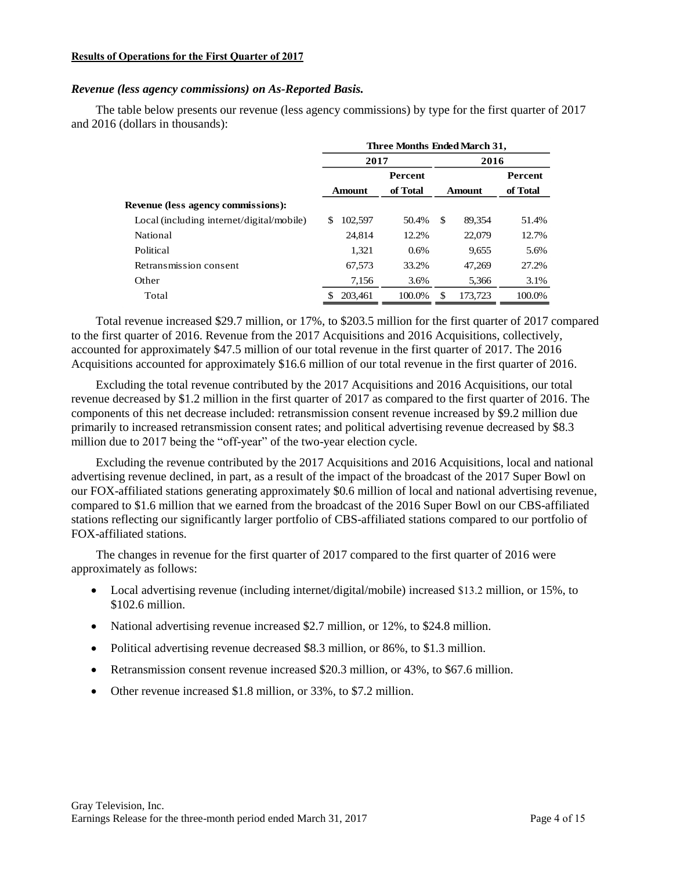#### **Results of Operations for the First Quarter of 2017**

#### *Revenue (less agency commissions) on As-Reported Basis.*

The table below presents our revenue (less agency commissions) by type for the first quarter of 2017 and 2016 (dollars in thousands):

|                                           | Three Months Ended March 31, |                |               |          |  |  |  |  |  |
|-------------------------------------------|------------------------------|----------------|---------------|----------|--|--|--|--|--|
|                                           | 2017                         | 2016           |               |          |  |  |  |  |  |
|                                           |                              | <b>Percent</b> |               | Percent  |  |  |  |  |  |
|                                           | <b>Amount</b>                | of Total       | <b>Amount</b> | of Total |  |  |  |  |  |
| Revenue (less agency commissions):        |                              |                |               |          |  |  |  |  |  |
| Local (including internet/digital/mobile) | 102,597<br>\$                | 50.4%          | \$<br>89,354  | 51.4%    |  |  |  |  |  |
| National                                  | 24.814                       | 12.2%          | 22,079        | 12.7%    |  |  |  |  |  |
| Political                                 | 1,321                        | 0.6%           | 9,655         | 5.6%     |  |  |  |  |  |
| Retransmission consent                    | 67,573                       | 33.2%          | 47,269        | 27.2%    |  |  |  |  |  |
| Other                                     | 7.156                        | 3.6%           | 5,366         | 3.1%     |  |  |  |  |  |
| Total                                     | 203.461                      | 100.0%         | 173,723<br>\$ | 100.0%   |  |  |  |  |  |

Total revenue increased \$29.7 million, or 17%, to \$203.5 million for the first quarter of 2017 compared to the first quarter of 2016. Revenue from the 2017 Acquisitions and 2016 Acquisitions, collectively, accounted for approximately \$47.5 million of our total revenue in the first quarter of 2017. The 2016 Acquisitions accounted for approximately \$16.6 million of our total revenue in the first quarter of 2016.

Excluding the total revenue contributed by the 2017 Acquisitions and 2016 Acquisitions, our total revenue decreased by \$1.2 million in the first quarter of 2017 as compared to the first quarter of 2016. The components of this net decrease included: retransmission consent revenue increased by \$9.2 million due primarily to increased retransmission consent rates; and political advertising revenue decreased by \$8.3 million due to 2017 being the "off-year" of the two-year election cycle.

Excluding the revenue contributed by the 2017 Acquisitions and 2016 Acquisitions, local and national advertising revenue declined, in part, as a result of the impact of the broadcast of the 2017 Super Bowl on our FOX-affiliated stations generating approximately \$0.6 million of local and national advertising revenue, compared to \$1.6 million that we earned from the broadcast of the 2016 Super Bowl on our CBS-affiliated stations reflecting our significantly larger portfolio of CBS-affiliated stations compared to our portfolio of FOX-affiliated stations.

The changes in revenue for the first quarter of 2017 compared to the first quarter of 2016 were approximately as follows:

- Local advertising revenue (including internet/digital/mobile) increased \$13.2 million, or 15%, to \$102.6 million.
- National advertising revenue increased \$2.7 million, or 12%, to \$24.8 million.
- Political advertising revenue decreased \$8.3 million, or 86%, to \$1.3 million.
- Retransmission consent revenue increased \$20.3 million, or 43%, to \$67.6 million.
- Other revenue increased \$1.8 million, or 33%, to \$7.2 million.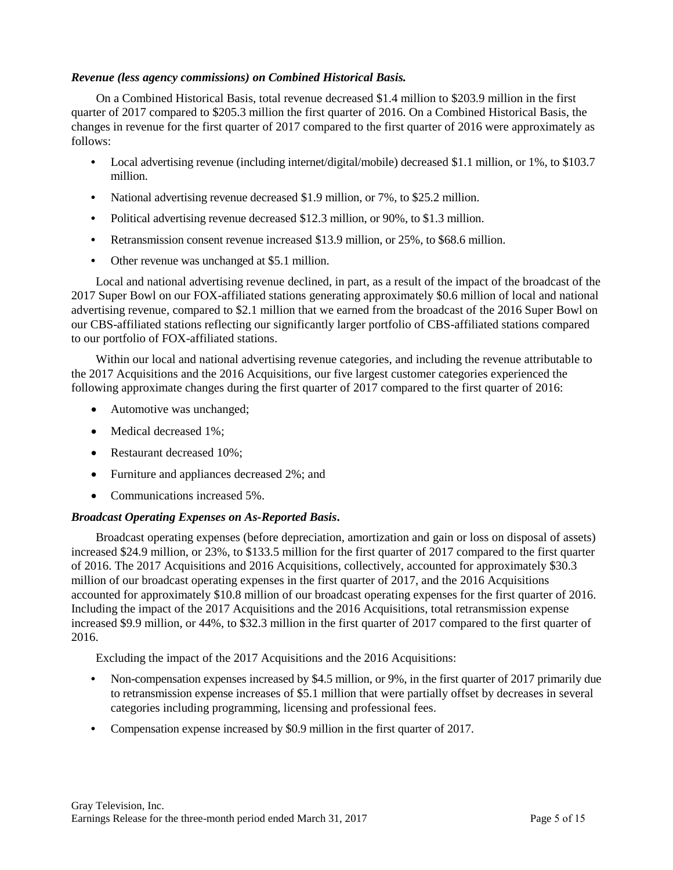#### *Revenue (less agency commissions) on Combined Historical Basis.*

On a Combined Historical Basis, total revenue decreased \$1.4 million to \$203.9 million in the first quarter of 2017 compared to \$205.3 million the first quarter of 2016. On a Combined Historical Basis, the changes in revenue for the first quarter of 2017 compared to the first quarter of 2016 were approximately as follows:

- Local advertising revenue (including internet/digital/mobile) decreased \$1.1 million, or 1%, to \$103.7 million.
- **•** National advertising revenue decreased \$1.9 million, or 7%, to \$25.2 million.
- **•** Political advertising revenue decreased \$12.3 million, or 90%, to \$1.3 million.
- **•** Retransmission consent revenue increased \$13.9 million, or 25%, to \$68.6 million.
- **•** Other revenue was unchanged at \$5.1 million.

Local and national advertising revenue declined, in part, as a result of the impact of the broadcast of the 2017 Super Bowl on our FOX-affiliated stations generating approximately \$0.6 million of local and national advertising revenue, compared to \$2.1 million that we earned from the broadcast of the 2016 Super Bowl on our CBS-affiliated stations reflecting our significantly larger portfolio of CBS-affiliated stations compared to our portfolio of FOX-affiliated stations.

Within our local and national advertising revenue categories, and including the revenue attributable to the 2017 Acquisitions and the 2016 Acquisitions, our five largest customer categories experienced the following approximate changes during the first quarter of 2017 compared to the first quarter of 2016:

- Automotive was unchanged;
- Medical decreased 1%;
- Restaurant decreased 10%;
- Furniture and appliances decreased 2%; and
- Communications increased 5%.

#### *Broadcast Operating Expenses on As-Reported Basis***.**

Broadcast operating expenses (before depreciation, amortization and gain or loss on disposal of assets) increased \$24.9 million, or 23%, to \$133.5 million for the first quarter of 2017 compared to the first quarter of 2016. The 2017 Acquisitions and 2016 Acquisitions, collectively, accounted for approximately \$30.3 million of our broadcast operating expenses in the first quarter of 2017, and the 2016 Acquisitions accounted for approximately \$10.8 million of our broadcast operating expenses for the first quarter of 2016. Including the impact of the 2017 Acquisitions and the 2016 Acquisitions, total retransmission expense increased \$9.9 million, or 44%, to \$32.3 million in the first quarter of 2017 compared to the first quarter of 2016.

Excluding the impact of the 2017 Acquisitions and the 2016 Acquisitions:

- **•** Non-compensation expenses increased by \$4.5 million, or 9%, in the first quarter of 2017 primarily due to retransmission expense increases of \$5.1 million that were partially offset by decreases in several categories including programming, licensing and professional fees.
- **•** Compensation expense increased by \$0.9 million in the first quarter of 2017.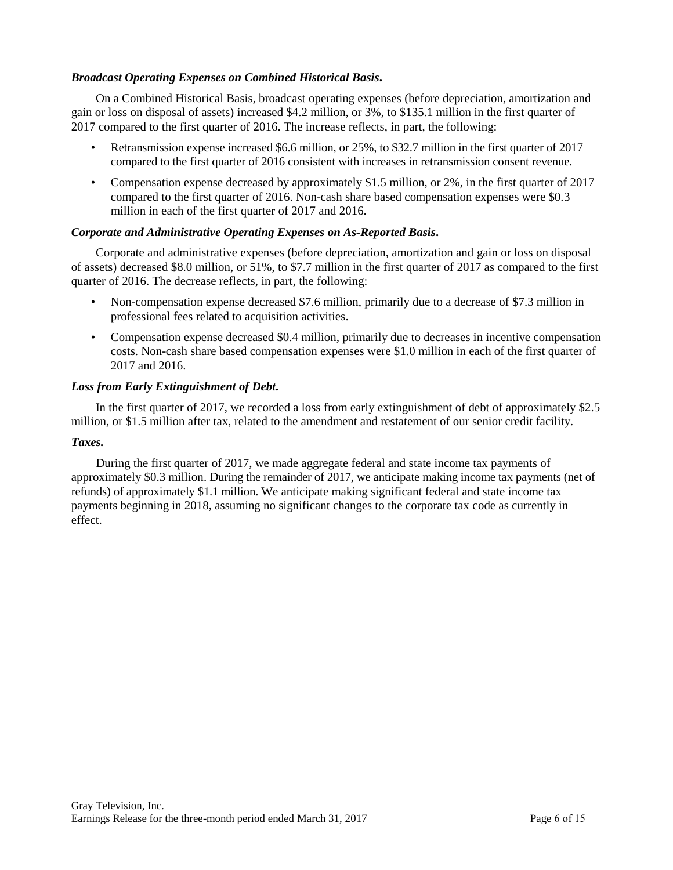#### *Broadcast Operating Expenses on Combined Historical Basis***.**

On a Combined Historical Basis, broadcast operating expenses (before depreciation, amortization and gain or loss on disposal of assets) increased \$4.2 million, or 3%, to \$135.1 million in the first quarter of 2017 compared to the first quarter of 2016. The increase reflects, in part, the following:

- Retransmission expense increased \$6.6 million, or 25%, to \$32.7 million in the first quarter of 2017 compared to the first quarter of 2016 consistent with increases in retransmission consent revenue.
- Compensation expense decreased by approximately \$1.5 million, or 2%, in the first quarter of 2017 compared to the first quarter of 2016. Non-cash share based compensation expenses were \$0.3 million in each of the first quarter of 2017 and 2016.

#### *Corporate and Administrative Operating Expenses on As-Reported Basis***.**

Corporate and administrative expenses (before depreciation, amortization and gain or loss on disposal of assets) decreased \$8.0 million, or 51%, to \$7.7 million in the first quarter of 2017 as compared to the first quarter of 2016. The decrease reflects, in part, the following:

- Non-compensation expense decreased \$7.6 million, primarily due to a decrease of \$7.3 million in professional fees related to acquisition activities.
- Compensation expense decreased \$0.4 million, primarily due to decreases in incentive compensation costs. Non-cash share based compensation expenses were \$1.0 million in each of the first quarter of 2017 and 2016.

#### *Loss from Early Extinguishment of Debt.*

In the first quarter of 2017, we recorded a loss from early extinguishment of debt of approximately \$2.5 million, or \$1.5 million after tax, related to the amendment and restatement of our senior credit facility.

#### *Taxes.*

During the first quarter of 2017, we made aggregate federal and state income tax payments of approximately \$0.3 million. During the remainder of 2017, we anticipate making income tax payments (net of refunds) of approximately \$1.1 million. We anticipate making significant federal and state income tax payments beginning in 2018, assuming no significant changes to the corporate tax code as currently in effect.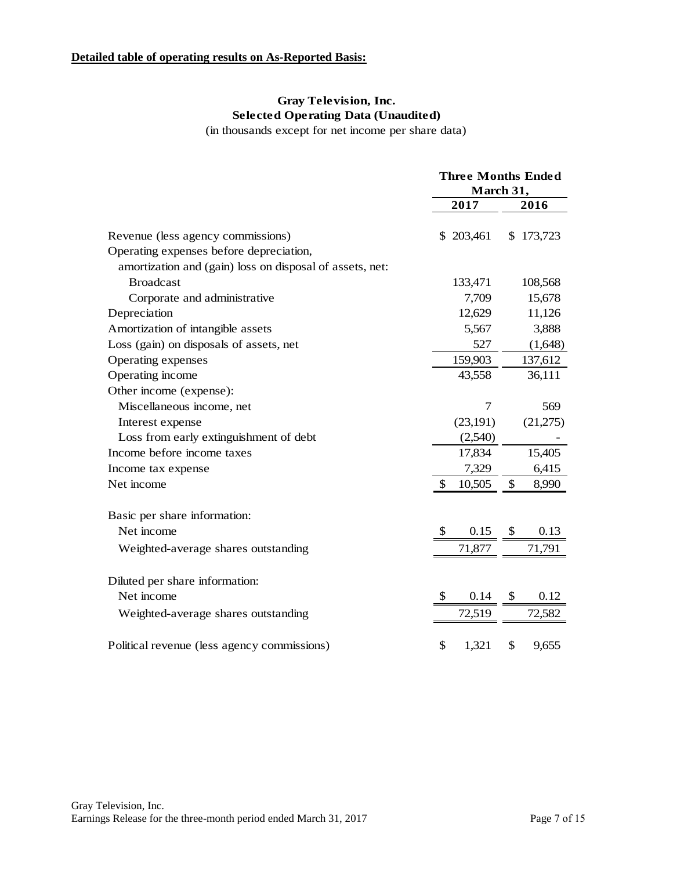# **Detailed table of operating results on As-Reported Basis:**

# **Gray Television, Inc. Selected Operating Data (Unaudited)**

(in thousands except for net income per share data)

|                                                          | <b>Three Months Ended</b> |           |    |           |  |
|----------------------------------------------------------|---------------------------|-----------|----|-----------|--|
|                                                          | March 31,                 |           |    |           |  |
|                                                          |                           | 2017      |    | 2016      |  |
| Revenue (less agency commissions)                        |                           | \$203,461 |    | \$173,723 |  |
| Operating expenses before depreciation,                  |                           |           |    |           |  |
| amortization and (gain) loss on disposal of assets, net: |                           |           |    |           |  |
| <b>Broadcast</b>                                         |                           | 133,471   |    | 108,568   |  |
| Corporate and administrative                             |                           | 7,709     |    | 15,678    |  |
| Depreciation                                             |                           | 12,629    |    | 11,126    |  |
| Amortization of intangible assets                        |                           | 5,567     |    | 3,888     |  |
| Loss (gain) on disposals of assets, net                  |                           | 527       |    | (1,648)   |  |
| Operating expenses                                       |                           | 159,903   |    | 137,612   |  |
| Operating income                                         |                           | 43,558    |    | 36,111    |  |
| Other income (expense):                                  |                           |           |    |           |  |
| Miscellaneous income, net                                |                           | 7         |    | 569       |  |
| Interest expense                                         |                           | (23,191)  |    | (21,275)  |  |
| Loss from early extinguishment of debt                   |                           | (2,540)   |    |           |  |
| Income before income taxes                               |                           | 17,834    |    | 15,405    |  |
| Income tax expense                                       |                           | 7,329     |    | 6,415     |  |
| Net income                                               | \$                        | 10,505    | \$ | 8,990     |  |
| Basic per share information:                             |                           |           |    |           |  |
| Net income                                               | S                         | 0.15      |    | 0.13      |  |
| Weighted-average shares outstanding                      |                           | 71,877    |    | 71,791    |  |
| Diluted per share information:                           |                           |           |    |           |  |
| Net income                                               | \$                        | 0.14      |    | 0.12      |  |
| Weighted-average shares outstanding                      |                           | 72,519    |    | 72,582    |  |
| Political revenue (less agency commissions)              | \$                        | 1,321     | \$ | 9,655     |  |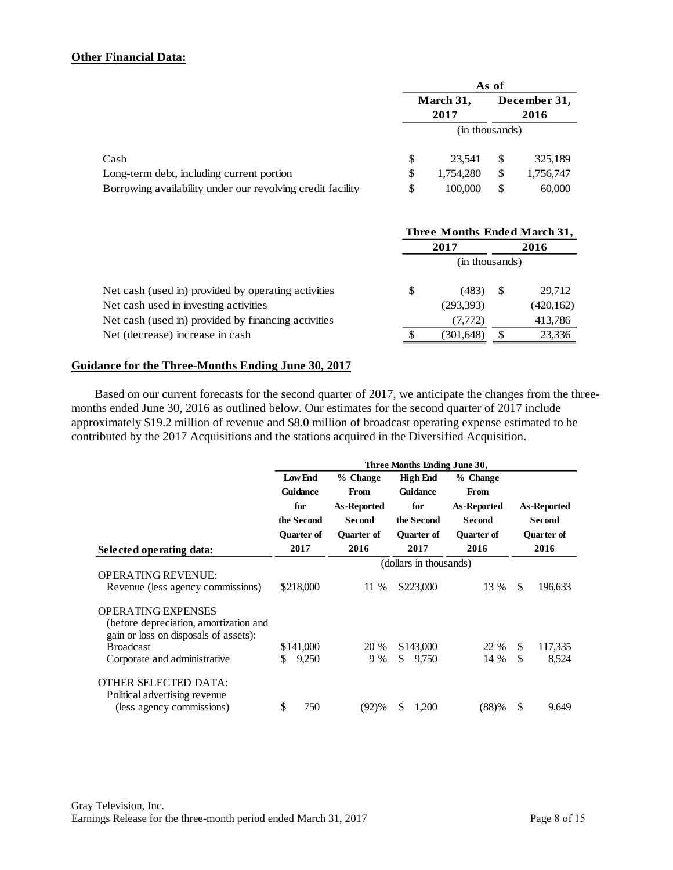#### **Other Financial Data:**

|                                                            | As of |                   |    |                      |  |  |
|------------------------------------------------------------|-------|-------------------|----|----------------------|--|--|
|                                                            |       | March 31,<br>2017 |    | December 31,<br>2016 |  |  |
|                                                            |       | (in thousands)    |    |                      |  |  |
| Cash                                                       | S     | 23.541            | S  | 325,189              |  |  |
| Long-term debt, including current portion                  | \$    | 1,754,280         | \$ | 1,756,747            |  |  |
| Borrowing availability under our revolving credit facility | \$    | 100,000           | \$ | 60,000               |  |  |

|                                                     | Three Months Ended March 31, |                |   |            |  |
|-----------------------------------------------------|------------------------------|----------------|---|------------|--|
|                                                     | 2017                         |                |   | 2016       |  |
|                                                     |                              | (in thousands) |   |            |  |
| Net cash (used in) provided by operating activities | \$                           | (483)          |   | 29,712     |  |
| Net cash used in investing activities               |                              | (293,393)      |   | (420, 162) |  |
| Net cash (used in) provided by financing activities |                              | (7,772)        |   | 413,786    |  |
| Net (decrease) increase in cash                     |                              | (301,648)      | S | 23,336     |  |

#### **Guidance for the Three-Months Ending June 30, 2017**

Based on our current forecasts for the second quarter of 2017, we anticipate the changes from the threemonths ended June 30, 2016 as outlined below. Our estimates for the second quarter of 2017 include approximately \$19.2 million of revenue and \$8.0 million of broadcast operating expense estimated to be contributed by the 2017 Acquisitions and the stations acquired in the Diversified Acquisition.

|                                                                                                              | Three Months Ending June 30, |                        |                   |                   |               |                    |  |  |  |
|--------------------------------------------------------------------------------------------------------------|------------------------------|------------------------|-------------------|-------------------|---------------|--------------------|--|--|--|
|                                                                                                              | <b>Low End</b>               | % Change               | % Change          |                   |               |                    |  |  |  |
|                                                                                                              | <b>Guidance</b>              | <b>From</b>            | <b>Guidance</b>   | <b>From</b>       |               |                    |  |  |  |
|                                                                                                              | for                          | As-Reported            | for               | As-Reported       |               | <b>As-Reported</b> |  |  |  |
|                                                                                                              | the Second                   | <b>Second</b>          | the Second        | <b>Second</b>     | <b>Second</b> |                    |  |  |  |
|                                                                                                              | Quarter of                   | <b>Ouarter of</b>      | <b>Quarter of</b> | <b>Ouarter of</b> |               | <b>Quarter of</b>  |  |  |  |
| Selected operating data:                                                                                     | 2017                         | 2016                   | 2017<br>2016      |                   |               | 2016               |  |  |  |
|                                                                                                              |                              | (dollars in thousands) |                   |                   |               |                    |  |  |  |
| <b>OPERATING REVENUE:</b>                                                                                    |                              |                        |                   |                   |               |                    |  |  |  |
| Revenue (less agency commissions)                                                                            | \$218,000                    | 11 %                   | \$223,000         | 13 %              | \$            | 196,633            |  |  |  |
| <b>OPERATING EXPENSES</b><br>(before depreciation, amortization and<br>gain or loss on disposals of assets): |                              |                        |                   |                   |               |                    |  |  |  |
| <b>Broadcast</b>                                                                                             | \$141,000                    | 20 %                   | \$143,000         | 22 %              | S.            | 117,335            |  |  |  |
| Corporate and administrative                                                                                 | 9,250<br>\$                  | 9%                     | \$<br>9,750       | 14 %              | \$            | 8,524              |  |  |  |
| <b>OTHER SELECTED DATA:</b><br>Political advertising revenue                                                 |                              |                        |                   |                   |               |                    |  |  |  |
| (less agency commissions)                                                                                    | \$<br>750                    | (92)%                  | \$<br>1.200       | (88)%             | \$            | 9,649              |  |  |  |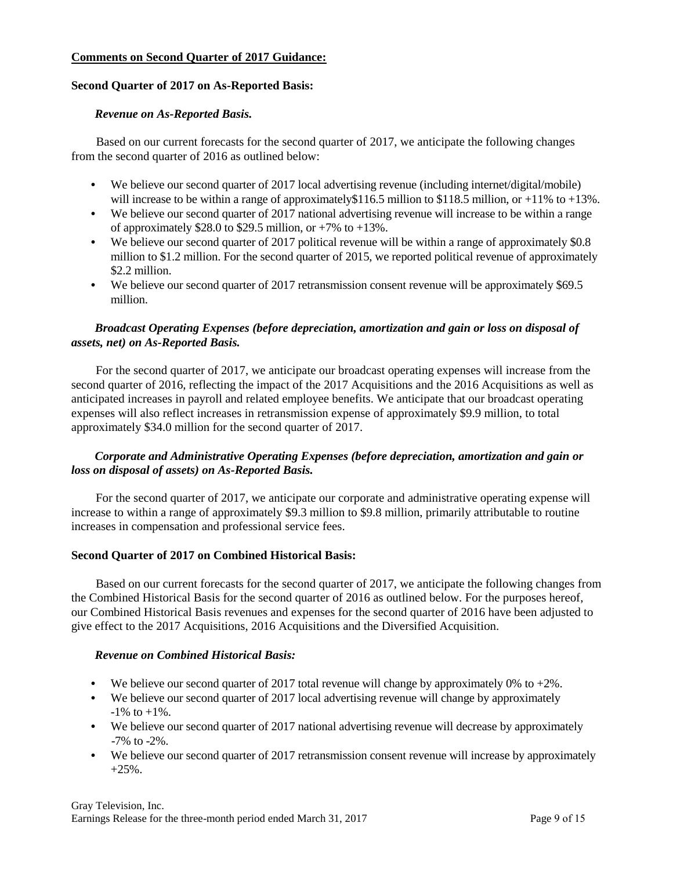#### **Comments on Second Quarter of 2017 Guidance:**

### **Second Quarter of 2017 on As-Reported Basis:**

#### *Revenue on As-Reported Basis.*

Based on our current forecasts for the second quarter of 2017, we anticipate the following changes from the second quarter of 2016 as outlined below:

- We believe our second quarter of 2017 local advertising revenue (including internet/digital/mobile) will increase to be within a range of approximately \$116.5 million to \$118.5 million, or +11% to +13%.
- We believe our second quarter of 2017 national advertising revenue will increase to be within a range of approximately \$28.0 to \$29.5 million, or  $+7\%$  to  $+13\%$ .
- **•** We believe our second quarter of 2017 political revenue will be within a range of approximately \$0.8 million to \$1.2 million. For the second quarter of 2015, we reported political revenue of approximately \$2.2 million.
- We believe our second quarter of 2017 retransmission consent revenue will be approximately \$69.5 million.

### *Broadcast Operating Expenses (before depreciation, amortization and gain or loss on disposal of assets, net) on As-Reported Basis.*

For the second quarter of 2017, we anticipate our broadcast operating expenses will increase from the second quarter of 2016, reflecting the impact of the 2017 Acquisitions and the 2016 Acquisitions as well as anticipated increases in payroll and related employee benefits. We anticipate that our broadcast operating expenses will also reflect increases in retransmission expense of approximately \$9.9 million, to total approximately \$34.0 million for the second quarter of 2017.

# *Corporate and Administrative Operating Expenses (before depreciation, amortization and gain or loss on disposal of assets) on As-Reported Basis.*

For the second quarter of 2017, we anticipate our corporate and administrative operating expense will increase to within a range of approximately \$9.3 million to \$9.8 million, primarily attributable to routine increases in compensation and professional service fees.

# **Second Quarter of 2017 on Combined Historical Basis:**

Based on our current forecasts for the second quarter of 2017, we anticipate the following changes from the Combined Historical Basis for the second quarter of 2016 as outlined below. For the purposes hereof, our Combined Historical Basis revenues and expenses for the second quarter of 2016 have been adjusted to give effect to the 2017 Acquisitions, 2016 Acquisitions and the Diversified Acquisition.

# *Revenue on Combined Historical Basis:*

- We believe our second quarter of 2017 total revenue will change by approximately 0% to  $+2\%$ .
- We believe our second quarter of 2017 local advertising revenue will change by approximately  $-1\%$  to  $+1\%$ .
- We believe our second quarter of 2017 national advertising revenue will decrease by approximately -7% to -2%.
- We believe our second quarter of 2017 retransmission consent revenue will increase by approximately +25%.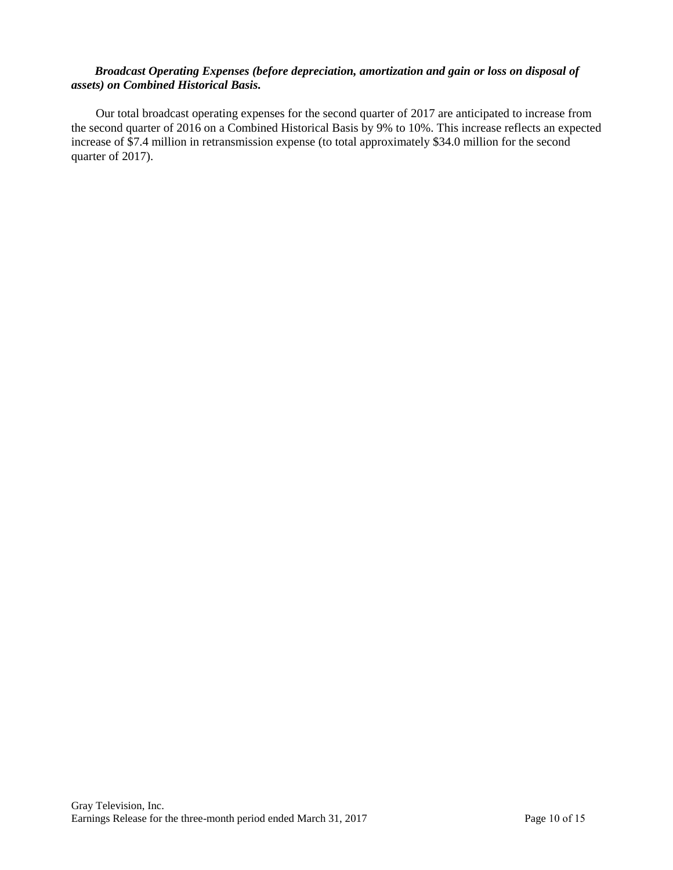#### *Broadcast Operating Expenses (before depreciation, amortization and gain or loss on disposal of assets) on Combined Historical Basis.*

Our total broadcast operating expenses for the second quarter of 2017 are anticipated to increase from the second quarter of 2016 on a Combined Historical Basis by 9% to 10%. This increase reflects an expected increase of \$7.4 million in retransmission expense (to total approximately \$34.0 million for the second quarter of 2017).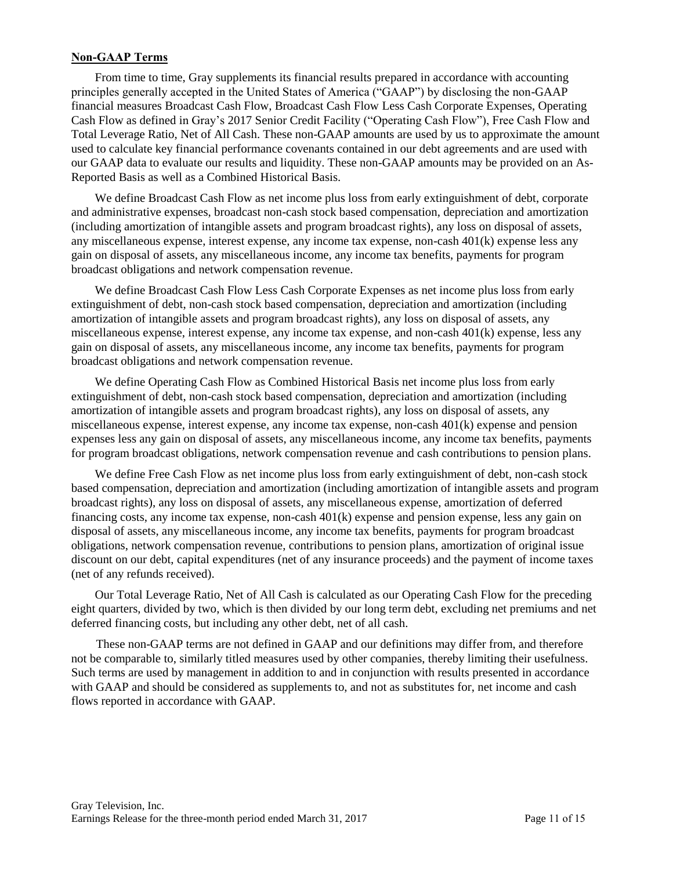#### **Non-GAAP Terms**

From time to time, Gray supplements its financial results prepared in accordance with accounting principles generally accepted in the United States of America ("GAAP") by disclosing the non-GAAP financial measures Broadcast Cash Flow, Broadcast Cash Flow Less Cash Corporate Expenses, Operating Cash Flow as defined in Gray's 2017 Senior Credit Facility ("Operating Cash Flow"), Free Cash Flow and Total Leverage Ratio, Net of All Cash. These non-GAAP amounts are used by us to approximate the amount used to calculate key financial performance covenants contained in our debt agreements and are used with our GAAP data to evaluate our results and liquidity. These non-GAAP amounts may be provided on an As-Reported Basis as well as a Combined Historical Basis.

We define Broadcast Cash Flow as net income plus loss from early extinguishment of debt, corporate and administrative expenses, broadcast non-cash stock based compensation, depreciation and amortization (including amortization of intangible assets and program broadcast rights), any loss on disposal of assets, any miscellaneous expense, interest expense, any income tax expense, non-cash 401(k) expense less any gain on disposal of assets, any miscellaneous income, any income tax benefits, payments for program broadcast obligations and network compensation revenue.

We define Broadcast Cash Flow Less Cash Corporate Expenses as net income plus loss from early extinguishment of debt, non-cash stock based compensation, depreciation and amortization (including amortization of intangible assets and program broadcast rights), any loss on disposal of assets, any miscellaneous expense, interest expense, any income tax expense, and non-cash 401(k) expense, less any gain on disposal of assets, any miscellaneous income, any income tax benefits, payments for program broadcast obligations and network compensation revenue.

We define Operating Cash Flow as Combined Historical Basis net income plus loss from early extinguishment of debt, non-cash stock based compensation, depreciation and amortization (including amortization of intangible assets and program broadcast rights), any loss on disposal of assets, any miscellaneous expense, interest expense, any income tax expense, non-cash 401(k) expense and pension expenses less any gain on disposal of assets, any miscellaneous income, any income tax benefits, payments for program broadcast obligations, network compensation revenue and cash contributions to pension plans.

We define Free Cash Flow as net income plus loss from early extinguishment of debt, non-cash stock based compensation, depreciation and amortization (including amortization of intangible assets and program broadcast rights), any loss on disposal of assets, any miscellaneous expense, amortization of deferred financing costs, any income tax expense, non-cash 401(k) expense and pension expense, less any gain on disposal of assets, any miscellaneous income, any income tax benefits, payments for program broadcast obligations, network compensation revenue, contributions to pension plans, amortization of original issue discount on our debt, capital expenditures (net of any insurance proceeds) and the payment of income taxes (net of any refunds received).

Our Total Leverage Ratio, Net of All Cash is calculated as our Operating Cash Flow for the preceding eight quarters, divided by two, which is then divided by our long term debt, excluding net premiums and net deferred financing costs, but including any other debt, net of all cash.

These non-GAAP terms are not defined in GAAP and our definitions may differ from, and therefore not be comparable to, similarly titled measures used by other companies, thereby limiting their usefulness. Such terms are used by management in addition to and in conjunction with results presented in accordance with GAAP and should be considered as supplements to, and not as substitutes for, net income and cash flows reported in accordance with GAAP.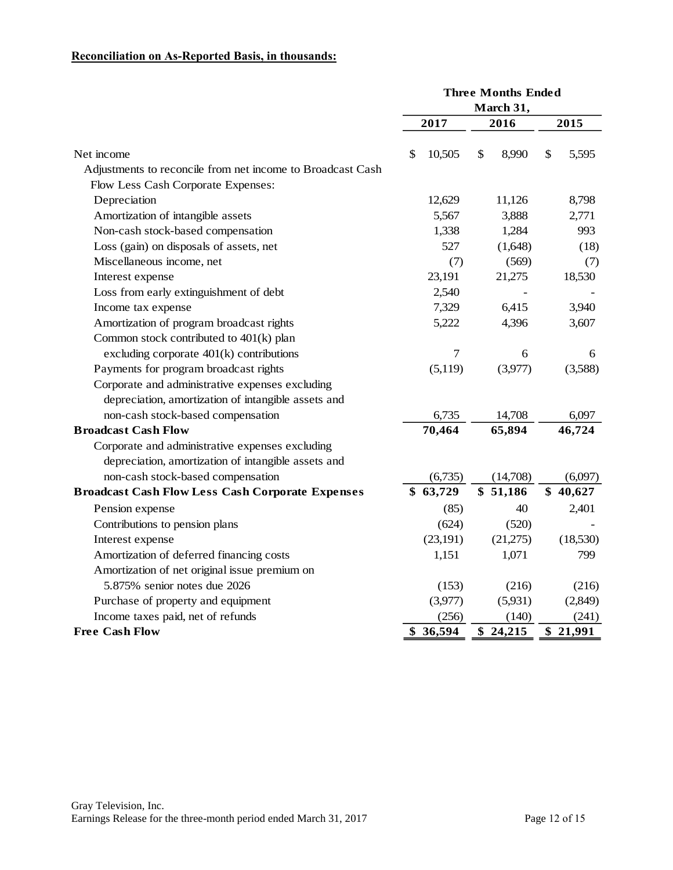# **Reconciliation on As-Reported Basis, in thousands:**

| March 31,<br>2017<br>2016<br>2015<br>\$<br>8,990<br>\$<br>Net income<br>\$<br>10,505<br>5,595<br>Adjustments to reconcile from net income to Broadcast Cash<br>Flow Less Cash Corporate Expenses:<br>8,798<br>Depreciation<br>12,629<br>11,126<br>5,567<br>3,888<br>2,771<br>Amortization of intangible assets<br>Non-cash stock-based compensation<br>1,338<br>1,284<br>993<br>Loss (gain) on disposals of assets, net<br>527<br>(1,648)<br>(18)<br>Miscellaneous income, net<br>(7)<br>(569)<br>(7)<br>23,191<br>21,275<br>18,530<br>Interest expense<br>Loss from early extinguishment of debt<br>2,540<br>7,329<br>6,415<br>3,940<br>Income tax expense<br>Amortization of program broadcast rights<br>5,222<br>4,396<br>3,607<br>Common stock contributed to 401(k) plan<br>$\boldsymbol{7}$<br>excluding corporate $401(k)$ contributions<br>6<br>6<br>Payments for program broadcast rights<br>(5,119)<br>(3,977)<br>(3,588)<br>Corporate and administrative expenses excluding<br>depreciation, amortization of intangible assets and<br>non-cash stock-based compensation<br>6,735<br>14,708<br>6,097<br>70,464<br>65,894<br><b>Broadcast Cash Flow</b><br>46,724<br>Corporate and administrative expenses excluding<br>depreciation, amortization of intangible assets and<br>non-cash stock-based compensation<br>(6,735)<br>(14,708)<br>(6,097)<br><b>Broadcast Cash Flow Less Cash Corporate Expenses</b><br>\$63,729<br>\$51,186<br>\$40,627<br>(85)<br>40<br>2,401<br>Pension expense<br>(624)<br>Contributions to pension plans<br>(520)<br>(23, 191)<br>(21,275)<br>Interest expense<br>(18,530)<br>Amortization of deferred financing costs<br>1,151<br>1,071<br>799<br>Amortization of net original issue premium on<br>5.875% senior notes due 2026<br>(216)<br>(216)<br>(153)<br>Purchase of property and equipment<br>(3,977)<br>(5,931)<br>(2,849)<br>Income taxes paid, net of refunds<br>(256)<br>(140)<br>(241)<br><b>Free Cash Flow</b><br>36,594<br>24,215<br>\$<br>\$<br>\$<br>21,991 | <b>Three Months Ended</b> |  |  |  |  |  |
|--------------------------------------------------------------------------------------------------------------------------------------------------------------------------------------------------------------------------------------------------------------------------------------------------------------------------------------------------------------------------------------------------------------------------------------------------------------------------------------------------------------------------------------------------------------------------------------------------------------------------------------------------------------------------------------------------------------------------------------------------------------------------------------------------------------------------------------------------------------------------------------------------------------------------------------------------------------------------------------------------------------------------------------------------------------------------------------------------------------------------------------------------------------------------------------------------------------------------------------------------------------------------------------------------------------------------------------------------------------------------------------------------------------------------------------------------------------------------------------------------------------------------------------------------------------------------------------------------------------------------------------------------------------------------------------------------------------------------------------------------------------------------------------------------------------------------------------------------------------------------------------------------------------------------------------------------------------------------------------------------------------------|---------------------------|--|--|--|--|--|
|                                                                                                                                                                                                                                                                                                                                                                                                                                                                                                                                                                                                                                                                                                                                                                                                                                                                                                                                                                                                                                                                                                                                                                                                                                                                                                                                                                                                                                                                                                                                                                                                                                                                                                                                                                                                                                                                                                                                                                                                                    |                           |  |  |  |  |  |
|                                                                                                                                                                                                                                                                                                                                                                                                                                                                                                                                                                                                                                                                                                                                                                                                                                                                                                                                                                                                                                                                                                                                                                                                                                                                                                                                                                                                                                                                                                                                                                                                                                                                                                                                                                                                                                                                                                                                                                                                                    |                           |  |  |  |  |  |
|                                                                                                                                                                                                                                                                                                                                                                                                                                                                                                                                                                                                                                                                                                                                                                                                                                                                                                                                                                                                                                                                                                                                                                                                                                                                                                                                                                                                                                                                                                                                                                                                                                                                                                                                                                                                                                                                                                                                                                                                                    |                           |  |  |  |  |  |
|                                                                                                                                                                                                                                                                                                                                                                                                                                                                                                                                                                                                                                                                                                                                                                                                                                                                                                                                                                                                                                                                                                                                                                                                                                                                                                                                                                                                                                                                                                                                                                                                                                                                                                                                                                                                                                                                                                                                                                                                                    |                           |  |  |  |  |  |
|                                                                                                                                                                                                                                                                                                                                                                                                                                                                                                                                                                                                                                                                                                                                                                                                                                                                                                                                                                                                                                                                                                                                                                                                                                                                                                                                                                                                                                                                                                                                                                                                                                                                                                                                                                                                                                                                                                                                                                                                                    |                           |  |  |  |  |  |
|                                                                                                                                                                                                                                                                                                                                                                                                                                                                                                                                                                                                                                                                                                                                                                                                                                                                                                                                                                                                                                                                                                                                                                                                                                                                                                                                                                                                                                                                                                                                                                                                                                                                                                                                                                                                                                                                                                                                                                                                                    |                           |  |  |  |  |  |
|                                                                                                                                                                                                                                                                                                                                                                                                                                                                                                                                                                                                                                                                                                                                                                                                                                                                                                                                                                                                                                                                                                                                                                                                                                                                                                                                                                                                                                                                                                                                                                                                                                                                                                                                                                                                                                                                                                                                                                                                                    |                           |  |  |  |  |  |
|                                                                                                                                                                                                                                                                                                                                                                                                                                                                                                                                                                                                                                                                                                                                                                                                                                                                                                                                                                                                                                                                                                                                                                                                                                                                                                                                                                                                                                                                                                                                                                                                                                                                                                                                                                                                                                                                                                                                                                                                                    |                           |  |  |  |  |  |
|                                                                                                                                                                                                                                                                                                                                                                                                                                                                                                                                                                                                                                                                                                                                                                                                                                                                                                                                                                                                                                                                                                                                                                                                                                                                                                                                                                                                                                                                                                                                                                                                                                                                                                                                                                                                                                                                                                                                                                                                                    |                           |  |  |  |  |  |
|                                                                                                                                                                                                                                                                                                                                                                                                                                                                                                                                                                                                                                                                                                                                                                                                                                                                                                                                                                                                                                                                                                                                                                                                                                                                                                                                                                                                                                                                                                                                                                                                                                                                                                                                                                                                                                                                                                                                                                                                                    |                           |  |  |  |  |  |
|                                                                                                                                                                                                                                                                                                                                                                                                                                                                                                                                                                                                                                                                                                                                                                                                                                                                                                                                                                                                                                                                                                                                                                                                                                                                                                                                                                                                                                                                                                                                                                                                                                                                                                                                                                                                                                                                                                                                                                                                                    |                           |  |  |  |  |  |
|                                                                                                                                                                                                                                                                                                                                                                                                                                                                                                                                                                                                                                                                                                                                                                                                                                                                                                                                                                                                                                                                                                                                                                                                                                                                                                                                                                                                                                                                                                                                                                                                                                                                                                                                                                                                                                                                                                                                                                                                                    |                           |  |  |  |  |  |
|                                                                                                                                                                                                                                                                                                                                                                                                                                                                                                                                                                                                                                                                                                                                                                                                                                                                                                                                                                                                                                                                                                                                                                                                                                                                                                                                                                                                                                                                                                                                                                                                                                                                                                                                                                                                                                                                                                                                                                                                                    |                           |  |  |  |  |  |
|                                                                                                                                                                                                                                                                                                                                                                                                                                                                                                                                                                                                                                                                                                                                                                                                                                                                                                                                                                                                                                                                                                                                                                                                                                                                                                                                                                                                                                                                                                                                                                                                                                                                                                                                                                                                                                                                                                                                                                                                                    |                           |  |  |  |  |  |
|                                                                                                                                                                                                                                                                                                                                                                                                                                                                                                                                                                                                                                                                                                                                                                                                                                                                                                                                                                                                                                                                                                                                                                                                                                                                                                                                                                                                                                                                                                                                                                                                                                                                                                                                                                                                                                                                                                                                                                                                                    |                           |  |  |  |  |  |
|                                                                                                                                                                                                                                                                                                                                                                                                                                                                                                                                                                                                                                                                                                                                                                                                                                                                                                                                                                                                                                                                                                                                                                                                                                                                                                                                                                                                                                                                                                                                                                                                                                                                                                                                                                                                                                                                                                                                                                                                                    |                           |  |  |  |  |  |
|                                                                                                                                                                                                                                                                                                                                                                                                                                                                                                                                                                                                                                                                                                                                                                                                                                                                                                                                                                                                                                                                                                                                                                                                                                                                                                                                                                                                                                                                                                                                                                                                                                                                                                                                                                                                                                                                                                                                                                                                                    |                           |  |  |  |  |  |
|                                                                                                                                                                                                                                                                                                                                                                                                                                                                                                                                                                                                                                                                                                                                                                                                                                                                                                                                                                                                                                                                                                                                                                                                                                                                                                                                                                                                                                                                                                                                                                                                                                                                                                                                                                                                                                                                                                                                                                                                                    |                           |  |  |  |  |  |
|                                                                                                                                                                                                                                                                                                                                                                                                                                                                                                                                                                                                                                                                                                                                                                                                                                                                                                                                                                                                                                                                                                                                                                                                                                                                                                                                                                                                                                                                                                                                                                                                                                                                                                                                                                                                                                                                                                                                                                                                                    |                           |  |  |  |  |  |
|                                                                                                                                                                                                                                                                                                                                                                                                                                                                                                                                                                                                                                                                                                                                                                                                                                                                                                                                                                                                                                                                                                                                                                                                                                                                                                                                                                                                                                                                                                                                                                                                                                                                                                                                                                                                                                                                                                                                                                                                                    |                           |  |  |  |  |  |
|                                                                                                                                                                                                                                                                                                                                                                                                                                                                                                                                                                                                                                                                                                                                                                                                                                                                                                                                                                                                                                                                                                                                                                                                                                                                                                                                                                                                                                                                                                                                                                                                                                                                                                                                                                                                                                                                                                                                                                                                                    |                           |  |  |  |  |  |
|                                                                                                                                                                                                                                                                                                                                                                                                                                                                                                                                                                                                                                                                                                                                                                                                                                                                                                                                                                                                                                                                                                                                                                                                                                                                                                                                                                                                                                                                                                                                                                                                                                                                                                                                                                                                                                                                                                                                                                                                                    |                           |  |  |  |  |  |
|                                                                                                                                                                                                                                                                                                                                                                                                                                                                                                                                                                                                                                                                                                                                                                                                                                                                                                                                                                                                                                                                                                                                                                                                                                                                                                                                                                                                                                                                                                                                                                                                                                                                                                                                                                                                                                                                                                                                                                                                                    |                           |  |  |  |  |  |
|                                                                                                                                                                                                                                                                                                                                                                                                                                                                                                                                                                                                                                                                                                                                                                                                                                                                                                                                                                                                                                                                                                                                                                                                                                                                                                                                                                                                                                                                                                                                                                                                                                                                                                                                                                                                                                                                                                                                                                                                                    |                           |  |  |  |  |  |
|                                                                                                                                                                                                                                                                                                                                                                                                                                                                                                                                                                                                                                                                                                                                                                                                                                                                                                                                                                                                                                                                                                                                                                                                                                                                                                                                                                                                                                                                                                                                                                                                                                                                                                                                                                                                                                                                                                                                                                                                                    |                           |  |  |  |  |  |
|                                                                                                                                                                                                                                                                                                                                                                                                                                                                                                                                                                                                                                                                                                                                                                                                                                                                                                                                                                                                                                                                                                                                                                                                                                                                                                                                                                                                                                                                                                                                                                                                                                                                                                                                                                                                                                                                                                                                                                                                                    |                           |  |  |  |  |  |
|                                                                                                                                                                                                                                                                                                                                                                                                                                                                                                                                                                                                                                                                                                                                                                                                                                                                                                                                                                                                                                                                                                                                                                                                                                                                                                                                                                                                                                                                                                                                                                                                                                                                                                                                                                                                                                                                                                                                                                                                                    |                           |  |  |  |  |  |
|                                                                                                                                                                                                                                                                                                                                                                                                                                                                                                                                                                                                                                                                                                                                                                                                                                                                                                                                                                                                                                                                                                                                                                                                                                                                                                                                                                                                                                                                                                                                                                                                                                                                                                                                                                                                                                                                                                                                                                                                                    |                           |  |  |  |  |  |
|                                                                                                                                                                                                                                                                                                                                                                                                                                                                                                                                                                                                                                                                                                                                                                                                                                                                                                                                                                                                                                                                                                                                                                                                                                                                                                                                                                                                                                                                                                                                                                                                                                                                                                                                                                                                                                                                                                                                                                                                                    |                           |  |  |  |  |  |
|                                                                                                                                                                                                                                                                                                                                                                                                                                                                                                                                                                                                                                                                                                                                                                                                                                                                                                                                                                                                                                                                                                                                                                                                                                                                                                                                                                                                                                                                                                                                                                                                                                                                                                                                                                                                                                                                                                                                                                                                                    |                           |  |  |  |  |  |
|                                                                                                                                                                                                                                                                                                                                                                                                                                                                                                                                                                                                                                                                                                                                                                                                                                                                                                                                                                                                                                                                                                                                                                                                                                                                                                                                                                                                                                                                                                                                                                                                                                                                                                                                                                                                                                                                                                                                                                                                                    |                           |  |  |  |  |  |
|                                                                                                                                                                                                                                                                                                                                                                                                                                                                                                                                                                                                                                                                                                                                                                                                                                                                                                                                                                                                                                                                                                                                                                                                                                                                                                                                                                                                                                                                                                                                                                                                                                                                                                                                                                                                                                                                                                                                                                                                                    |                           |  |  |  |  |  |
|                                                                                                                                                                                                                                                                                                                                                                                                                                                                                                                                                                                                                                                                                                                                                                                                                                                                                                                                                                                                                                                                                                                                                                                                                                                                                                                                                                                                                                                                                                                                                                                                                                                                                                                                                                                                                                                                                                                                                                                                                    |                           |  |  |  |  |  |
|                                                                                                                                                                                                                                                                                                                                                                                                                                                                                                                                                                                                                                                                                                                                                                                                                                                                                                                                                                                                                                                                                                                                                                                                                                                                                                                                                                                                                                                                                                                                                                                                                                                                                                                                                                                                                                                                                                                                                                                                                    |                           |  |  |  |  |  |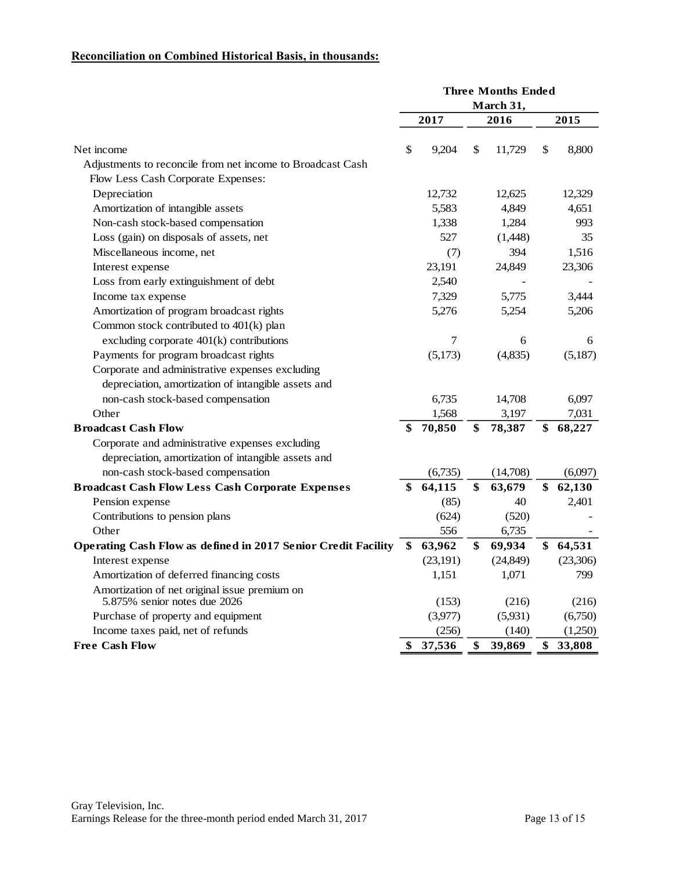# **Reconciliation on Combined Historical Basis, in thousands:**

|                                                                               |           |                  |    | <b>Three Months Ended</b> |    |          |
|-------------------------------------------------------------------------------|-----------|------------------|----|---------------------------|----|----------|
|                                                                               | March 31, |                  |    |                           |    |          |
|                                                                               | 2017      |                  |    | 2016                      |    | 2015     |
| Net income                                                                    | \$        | 9,204            | \$ | 11,729                    | \$ | 8,800    |
| Adjustments to reconcile from net income to Broadcast Cash                    |           |                  |    |                           |    |          |
| Flow Less Cash Corporate Expenses:                                            |           |                  |    |                           |    |          |
| Depreciation                                                                  |           | 12,732           |    | 12,625                    |    | 12,329   |
| Amortization of intangible assets                                             |           | 5,583            |    | 4,849                     |    | 4,651    |
| Non-cash stock-based compensation                                             |           | 1,338            |    | 1,284                     |    | 993      |
| Loss (gain) on disposals of assets, net                                       |           | 527              |    | (1,448)                   |    | 35       |
| Miscellaneous income, net                                                     |           | (7)              |    | 394                       |    | 1,516    |
| Interest expense                                                              |           | 23,191           |    | 24,849                    |    | 23,306   |
| Loss from early extinguishment of debt                                        |           | 2,540            |    |                           |    |          |
| Income tax expense                                                            |           | 7,329            |    | 5,775                     |    | 3,444    |
| Amortization of program broadcast rights                                      |           | 5,276            |    | 5,254                     |    | 5,206    |
| Common stock contributed to 401(k) plan                                       |           |                  |    |                           |    |          |
| excluding corporate $401(k)$ contributions                                    |           | $\boldsymbol{7}$ |    | 6                         |    | 6        |
| Payments for program broadcast rights                                         |           | (5,173)          |    | (4,835)                   |    | (5,187)  |
| Corporate and administrative expenses excluding                               |           |                  |    |                           |    |          |
| depreciation, amortization of intangible assets and                           |           |                  |    |                           |    |          |
| non-cash stock-based compensation                                             |           | 6,735            |    | 14,708                    |    | 6,097    |
| Other                                                                         |           | 1,568            |    | 3,197                     |    | 7,031    |
| <b>Broadcast Cash Flow</b>                                                    | \$        | 70,850           | \$ | 78,387                    | \$ | 68,227   |
| Corporate and administrative expenses excluding                               |           |                  |    |                           |    |          |
| depreciation, amortization of intangible assets and                           |           |                  |    |                           |    |          |
| non-cash stock-based compensation                                             |           | (6,735)          |    | (14,708)                  |    | (6,097)  |
| <b>Broadcast Cash Flow Less Cash Corporate Expenses</b>                       |           | 64,115           | \$ | 63,679                    | \$ | 62,130   |
| Pension expense                                                               |           | (85)             |    | 40                        |    | 2,401    |
| Contributions to pension plans                                                |           | (624)            |    | (520)                     |    |          |
| Other                                                                         |           | 556              |    | 6,735                     |    |          |
| Operating Cash Flow as defined in 2017 Senior Credit Facility                 |           | 63,962           | \$ | 69,934                    | \$ | 64,531   |
| Interest expense                                                              |           | (23, 191)        |    | (24, 849)                 |    | (23,306) |
| Amortization of deferred financing costs                                      |           | 1,151            |    | 1,071                     |    | 799      |
| Amortization of net original issue premium on<br>5.875% senior notes due 2026 |           | (153)            |    | (216)                     |    | (216)    |
| Purchase of property and equipment                                            |           | (3,977)          |    | (5,931)                   |    | (6,750)  |
| Income taxes paid, net of refunds                                             |           | (256)            |    | (140)                     |    | (1,250)  |
| <b>Free Cash Flow</b>                                                         | \$        | 37,536           | \$ | 39,869                    | \$ | 33,808   |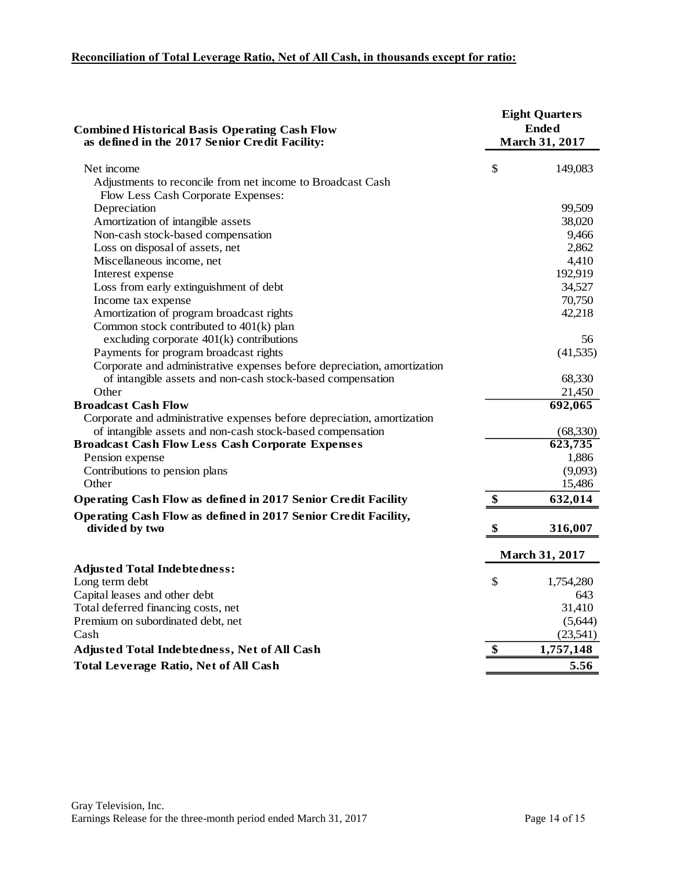# **Reconciliation of Total Leverage Ratio, Net of All Cash, in thousands except for ratio:**

| <b>Combined Historical Basis Operating Cash Flow</b><br>as defined in the 2017 Senior Credit Facility: |    | <b>Eight Quarters</b><br><b>Ended</b><br><b>March 31, 2017</b> |  |  |  |
|--------------------------------------------------------------------------------------------------------|----|----------------------------------------------------------------|--|--|--|
| Net income                                                                                             | \$ | 149,083                                                        |  |  |  |
| Adjustments to reconcile from net income to Broadcast Cash                                             |    |                                                                |  |  |  |
| Flow Less Cash Corporate Expenses:                                                                     |    |                                                                |  |  |  |
| Depreciation                                                                                           |    | 99,509                                                         |  |  |  |
| Amortization of intangible assets                                                                      |    | 38,020                                                         |  |  |  |
| Non-cash stock-based compensation                                                                      |    | 9,466                                                          |  |  |  |
| Loss on disposal of assets, net                                                                        |    | 2,862                                                          |  |  |  |
| Miscellaneous income, net                                                                              |    | 4,410                                                          |  |  |  |
| Interest expense                                                                                       |    | 192,919                                                        |  |  |  |
| Loss from early extinguishment of debt                                                                 |    | 34,527                                                         |  |  |  |
| Income tax expense                                                                                     |    | 70,750                                                         |  |  |  |
| Amortization of program broadcast rights                                                               |    | 42,218                                                         |  |  |  |
| Common stock contributed to 401(k) plan                                                                |    |                                                                |  |  |  |
| excluding corporate $401(k)$ contributions                                                             |    | 56                                                             |  |  |  |
| Payments for program broadcast rights                                                                  |    | (41, 535)                                                      |  |  |  |
| Corporate and administrative expenses before depreciation, amortization                                |    |                                                                |  |  |  |
| of intangible assets and non-cash stock-based compensation                                             |    | 68,330                                                         |  |  |  |
| Other                                                                                                  |    | 21,450                                                         |  |  |  |
| <b>Broadcast Cash Flow</b>                                                                             |    | 692,065                                                        |  |  |  |
| Corporate and administrative expenses before depreciation, amortization                                |    |                                                                |  |  |  |
| of intangible assets and non-cash stock-based compensation                                             |    | (68,330)                                                       |  |  |  |
| <b>Broadcast Cash Flow Less Cash Corporate Expenses</b>                                                |    | 623,735                                                        |  |  |  |
| Pension expense                                                                                        |    | 1,886                                                          |  |  |  |
| Contributions to pension plans                                                                         |    | (9,093)                                                        |  |  |  |
| Other<br><b>Operating Cash Flow as defined in 2017 Senior Credit Facility</b>                          | \$ | 15,486<br>632,014                                              |  |  |  |
|                                                                                                        |    |                                                                |  |  |  |
| Operating Cash Flow as defined in 2017 Senior Credit Facility,<br>divided by two                       | \$ | 316,007                                                        |  |  |  |
|                                                                                                        |    |                                                                |  |  |  |
|                                                                                                        |    | <b>March 31, 2017</b>                                          |  |  |  |
| <b>Adjusted Total Indebtedness:</b>                                                                    |    |                                                                |  |  |  |
| Long term debt                                                                                         | \$ | 1,754,280                                                      |  |  |  |
| Capital leases and other debt                                                                          |    | 643                                                            |  |  |  |
| Total deferred financing costs, net                                                                    |    | 31,410                                                         |  |  |  |
| Premium on subordinated debt, net                                                                      |    | (5,644)                                                        |  |  |  |
| Cash                                                                                                   |    | (23,541)                                                       |  |  |  |
| Adjusted Total Indebtedness, Net of All Cash                                                           | \$ | 1,757,148                                                      |  |  |  |
| <b>Total Leverage Ratio, Net of All Cash</b>                                                           |    | 5.56                                                           |  |  |  |